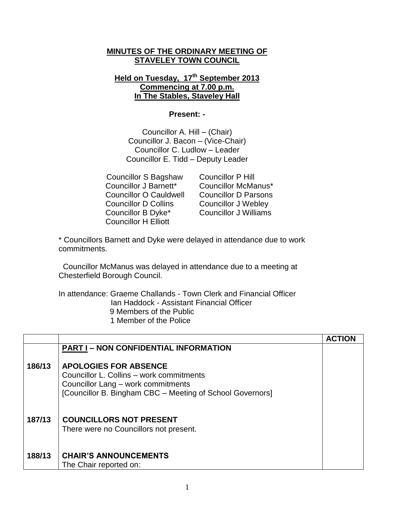## **MINUTES OF THE ORDINARY MEETING OF STAVELEY TOWN COUNCIL**

## **Held on Tuesday, 17th September 2013 Commencing at 7.00 p.m. In The Stables, Staveley Hall**

## **Present: -**

Councillor A. Hill – (Chair) Councillor J. Bacon – (Vice-Chair) Councillor C. Ludlow – Leader Councillor E. Tidd – Deputy Leader

 Councillor S Bagshaw Councillor P Hill Councillor J Barnett\* Councillor McManus\* Councillor O Cauldwell Councillor D Parsons Councillor D Collins Councillor J Webley Councillor B Dyke\* Councillor J Williams Councillor H Elliott

\* Councillors Barnett and Dyke were delayed in attendance due to work commitments.

 Councillor McManus was delayed in attendance due to a meeting at Chesterfield Borough Council.

In attendance: Graeme Challands - Town Clerk and Financial Officer Ian Haddock - Assistant Financial Officer

- 9 Members of the Public
- 1 Member of the Police

|        |                                                           | <b>ACTION</b> |
|--------|-----------------------------------------------------------|---------------|
|        | <b>PART I - NON CONFIDENTIAL INFORMATION</b>              |               |
|        |                                                           |               |
| 186/13 | <b>APOLOGIES FOR ABSENCE</b>                              |               |
|        | Councillor L. Collins – work commitments                  |               |
|        | Councillor Lang - work commitments                        |               |
|        | [Councillor B. Bingham CBC – Meeting of School Governors] |               |
|        |                                                           |               |
|        |                                                           |               |
| 187/13 | <b>COUNCILLORS NOT PRESENT</b>                            |               |
|        | There were no Councillors not present.                    |               |
|        |                                                           |               |
|        |                                                           |               |
| 188/13 | <b>CHAIR'S ANNOUNCEMENTS</b>                              |               |
|        | The Chair reported on:                                    |               |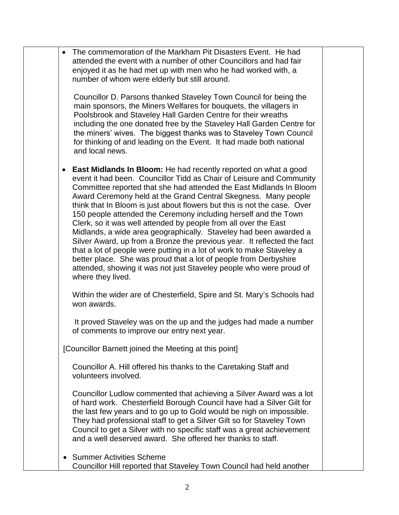| $\bullet$ | The commemoration of the Markham Pit Disasters Event. He had<br>attended the event with a number of other Councillors and had fair<br>enjoyed it as he had met up with men who he had worked with, a<br>number of whom were elderly but still around.                                                                                                                                                                                                                                                                                                                                                                                                                                                                                                                                                                                                                                              |  |
|-----------|----------------------------------------------------------------------------------------------------------------------------------------------------------------------------------------------------------------------------------------------------------------------------------------------------------------------------------------------------------------------------------------------------------------------------------------------------------------------------------------------------------------------------------------------------------------------------------------------------------------------------------------------------------------------------------------------------------------------------------------------------------------------------------------------------------------------------------------------------------------------------------------------------|--|
|           | Councillor D. Parsons thanked Staveley Town Council for being the<br>main sponsors, the Miners Welfares for bouquets, the villagers in<br>Poolsbrook and Staveley Hall Garden Centre for their wreaths<br>including the one donated free by the Staveley Hall Garden Centre for<br>the miners' wives. The biggest thanks was to Staveley Town Council<br>for thinking of and leading on the Event. It had made both national<br>and local news.                                                                                                                                                                                                                                                                                                                                                                                                                                                    |  |
| $\bullet$ | <b>East Midlands In Bloom:</b> He had recently reported on what a good<br>event it had been. Councillor Tidd as Chair of Leisure and Community<br>Committee reported that she had attended the East Midlands In Bloom<br>Award Ceremony held at the Grand Central Skegness. Many people<br>think that In Bloom is just about flowers but this is not the case. Over<br>150 people attended the Ceremony including herself and the Town<br>Clerk, so it was well attended by people from all over the East<br>Midlands, a wide area geographically. Staveley had been awarded a<br>Silver Award, up from a Bronze the previous year. It reflected the fact<br>that a lot of people were putting in a lot of work to make Staveley a<br>better place. She was proud that a lot of people from Derbyshire<br>attended, showing it was not just Staveley people who were proud of<br>where they lived. |  |
|           | Within the wider are of Chesterfield, Spire and St. Mary's Schools had<br>won awards.                                                                                                                                                                                                                                                                                                                                                                                                                                                                                                                                                                                                                                                                                                                                                                                                              |  |
|           | It proved Staveley was on the up and the judges had made a number<br>of comments to improve our entry next year.                                                                                                                                                                                                                                                                                                                                                                                                                                                                                                                                                                                                                                                                                                                                                                                   |  |
|           | [Councillor Barnett joined the Meeting at this point]                                                                                                                                                                                                                                                                                                                                                                                                                                                                                                                                                                                                                                                                                                                                                                                                                                              |  |
|           | Councillor A. Hill offered his thanks to the Caretaking Staff and<br>volunteers involved.                                                                                                                                                                                                                                                                                                                                                                                                                                                                                                                                                                                                                                                                                                                                                                                                          |  |
|           | Councillor Ludlow commented that achieving a Silver Award was a lot<br>of hard work. Chesterfield Borough Council have had a Silver Gilt for<br>the last few years and to go up to Gold would be nigh on impossible.<br>They had professional staff to get a Silver Gilt so for Staveley Town<br>Council to get a Silver with no specific staff was a great achievement<br>and a well deserved award. She offered her thanks to staff.                                                                                                                                                                                                                                                                                                                                                                                                                                                             |  |
|           | <b>Summer Activities Scheme</b><br>Councillor Hill reported that Staveley Town Council had held another                                                                                                                                                                                                                                                                                                                                                                                                                                                                                                                                                                                                                                                                                                                                                                                            |  |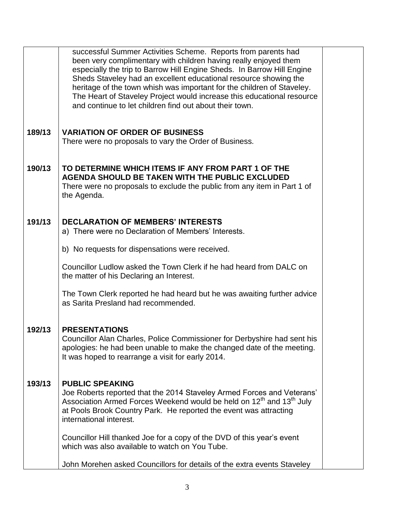|        | successful Summer Activities Scheme. Reports from parents had<br>been very complimentary with children having really enjoyed them<br>especially the trip to Barrow Hill Engine Sheds. In Barrow Hill Engine<br>Sheds Staveley had an excellent educational resource showing the<br>heritage of the town whish was important for the children of Staveley.<br>The Heart of Staveley Project would increase this educational resource<br>and continue to let children find out about their town. |  |
|--------|------------------------------------------------------------------------------------------------------------------------------------------------------------------------------------------------------------------------------------------------------------------------------------------------------------------------------------------------------------------------------------------------------------------------------------------------------------------------------------------------|--|
| 189/13 | <b>VARIATION OF ORDER OF BUSINESS</b><br>There were no proposals to vary the Order of Business.                                                                                                                                                                                                                                                                                                                                                                                                |  |
| 190/13 | TO DETERMINE WHICH ITEMS IF ANY FROM PART 1 OF THE<br>AGENDA SHOULD BE TAKEN WITH THE PUBLIC EXCLUDED<br>There were no proposals to exclude the public from any item in Part 1 of<br>the Agenda.                                                                                                                                                                                                                                                                                               |  |
| 191/13 | <b>DECLARATION OF MEMBERS' INTERESTS</b><br>a) There were no Declaration of Members' Interests.                                                                                                                                                                                                                                                                                                                                                                                                |  |
|        | b) No requests for dispensations were received.                                                                                                                                                                                                                                                                                                                                                                                                                                                |  |
|        | Councillor Ludlow asked the Town Clerk if he had heard from DALC on<br>the matter of his Declaring an Interest.                                                                                                                                                                                                                                                                                                                                                                                |  |
|        | The Town Clerk reported he had heard but he was awaiting further advice<br>as Sarita Presland had recommended.                                                                                                                                                                                                                                                                                                                                                                                 |  |
| 192/13 | <b>PRESENTATIONS</b><br>Councillor Alan Charles, Police Commissioner for Derbyshire had sent his<br>apologies: he had been unable to make the changed date of the meeting.<br>It was hoped to rearrange a visit for early 2014.                                                                                                                                                                                                                                                                |  |
| 193/13 | <b>PUBLIC SPEAKING</b><br>Joe Roberts reported that the 2014 Staveley Armed Forces and Veterans'<br>Association Armed Forces Weekend would be held on 12 <sup>th</sup> and 13 <sup>th</sup> July<br>at Pools Brook Country Park. He reported the event was attracting<br>international interest.                                                                                                                                                                                               |  |
|        | Councillor Hill thanked Joe for a copy of the DVD of this year's event<br>which was also available to watch on You Tube.                                                                                                                                                                                                                                                                                                                                                                       |  |
|        | John Morehen asked Councillors for details of the extra events Staveley                                                                                                                                                                                                                                                                                                                                                                                                                        |  |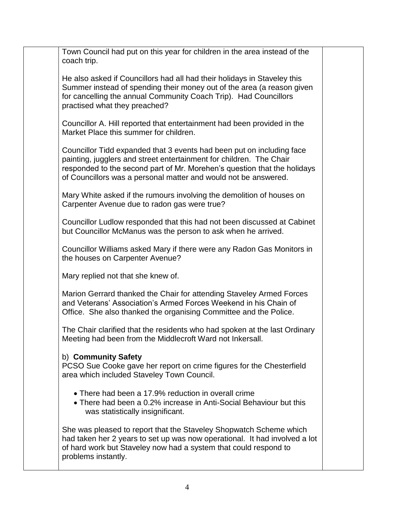|  | Town Council had put on this year for children in the area instead of the<br>coach trip.                                                                                                                                                                                                    |  |
|--|---------------------------------------------------------------------------------------------------------------------------------------------------------------------------------------------------------------------------------------------------------------------------------------------|--|
|  | He also asked if Councillors had all had their holidays in Staveley this<br>Summer instead of spending their money out of the area (a reason given<br>for cancelling the annual Community Coach Trip). Had Councillors<br>practised what they preached?                                     |  |
|  | Councillor A. Hill reported that entertainment had been provided in the<br>Market Place this summer for children.                                                                                                                                                                           |  |
|  | Councillor Tidd expanded that 3 events had been put on including face<br>painting, jugglers and street entertainment for children. The Chair<br>responded to the second part of Mr. Morehen's question that the holidays<br>of Councillors was a personal matter and would not be answered. |  |
|  | Mary White asked if the rumours involving the demolition of houses on<br>Carpenter Avenue due to radon gas were true?                                                                                                                                                                       |  |
|  | Councillor Ludlow responded that this had not been discussed at Cabinet<br>but Councillor McManus was the person to ask when he arrived.                                                                                                                                                    |  |
|  | Councillor Williams asked Mary if there were any Radon Gas Monitors in<br>the houses on Carpenter Avenue?                                                                                                                                                                                   |  |
|  | Mary replied not that she knew of.                                                                                                                                                                                                                                                          |  |
|  | Marion Gerrard thanked the Chair for attending Staveley Armed Forces<br>and Veterans' Association's Armed Forces Weekend in his Chain of<br>Office. She also thanked the organising Committee and the Police.                                                                               |  |
|  | The Chair clarified that the residents who had spoken at the last Ordinary<br>Meeting had been from the Middlecroft Ward not Inkersall.                                                                                                                                                     |  |
|  | b) Community Safety<br>PCSO Sue Cooke gave her report on crime figures for the Chesterfield<br>area which included Staveley Town Council.                                                                                                                                                   |  |
|  | • There had been a 17.9% reduction in overall crime<br>• There had been a 0.2% increase in Anti-Social Behaviour but this<br>was statistically insignificant.                                                                                                                               |  |
|  | She was pleased to report that the Staveley Shopwatch Scheme which<br>had taken her 2 years to set up was now operational. It had involved a lot<br>of hard work but Staveley now had a system that could respond to<br>problems instantly.                                                 |  |
|  |                                                                                                                                                                                                                                                                                             |  |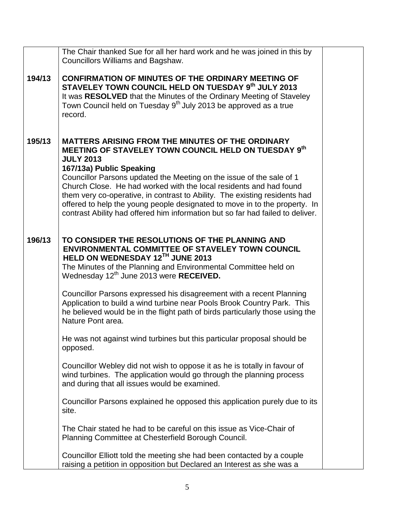|        | The Chair thanked Sue for all her hard work and he was joined in this by<br>Councillors Williams and Bagshaw.                                                                                                                                                                                                                                                                                                                                                                                                                                               |  |
|--------|-------------------------------------------------------------------------------------------------------------------------------------------------------------------------------------------------------------------------------------------------------------------------------------------------------------------------------------------------------------------------------------------------------------------------------------------------------------------------------------------------------------------------------------------------------------|--|
| 194/13 | <b>CONFIRMATION OF MINUTES OF THE ORDINARY MEETING OF</b><br>STAVELEY TOWN COUNCIL HELD ON TUESDAY 9th JULY 2013<br>It was RESOLVED that the Minutes of the Ordinary Meeting of Staveley<br>Town Council held on Tuesday 9 <sup>th</sup> July 2013 be approved as a true<br>record.                                                                                                                                                                                                                                                                         |  |
| 195/13 | <b>MATTERS ARISING FROM THE MINUTES OF THE ORDINARY</b><br>MEETING OF STAVELEY TOWN COUNCIL HELD ON TUESDAY 9th<br><b>JULY 2013</b><br>167/13a) Public Speaking<br>Councillor Parsons updated the Meeting on the issue of the sale of 1<br>Church Close. He had worked with the local residents and had found<br>them very co-operative, in contrast to Ability. The existing residents had<br>offered to help the young people designated to move in to the property. In<br>contrast Ability had offered him information but so far had failed to deliver. |  |
| 196/13 | TO CONSIDER THE RESOLUTIONS OF THE PLANNING AND<br><b>ENVIRONMENTAL COMMITTEE OF STAVELEY TOWN COUNCIL</b><br>HELD ON WEDNESDAY 12TH JUNE 2013<br>The Minutes of the Planning and Environmental Committee held on<br>Wednesday 12 <sup>th</sup> June 2013 were RECEIVED.<br>Councillor Parsons expressed his disagreement with a recent Planning<br>Application to build a wind turbine near Pools Brook Country Park. This<br>he believed would be in the flight path of birds particularly those using the                                                |  |
|        | Nature Pont area.<br>He was not against wind turbines but this particular proposal should be<br>opposed.<br>Councillor Webley did not wish to oppose it as he is totally in favour of<br>wind turbines. The application would go through the planning process<br>and during that all issues would be examined.                                                                                                                                                                                                                                              |  |
|        | Councillor Parsons explained he opposed this application purely due to its<br>site.                                                                                                                                                                                                                                                                                                                                                                                                                                                                         |  |
|        | The Chair stated he had to be careful on this issue as Vice-Chair of<br>Planning Committee at Chesterfield Borough Council.                                                                                                                                                                                                                                                                                                                                                                                                                                 |  |
|        | Councillor Elliott told the meeting she had been contacted by a couple<br>raising a petition in opposition but Declared an Interest as she was a                                                                                                                                                                                                                                                                                                                                                                                                            |  |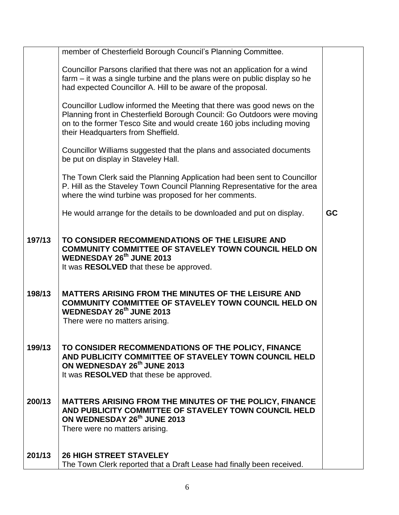|        | member of Chesterfield Borough Council's Planning Committee.                                                                                                                                                                                                      |           |
|--------|-------------------------------------------------------------------------------------------------------------------------------------------------------------------------------------------------------------------------------------------------------------------|-----------|
|        | Councillor Parsons clarified that there was not an application for a wind<br>farm – it was a single turbine and the plans were on public display so he<br>had expected Councillor A. Hill to be aware of the proposal.                                            |           |
|        | Councillor Ludlow informed the Meeting that there was good news on the<br>Planning front in Chesterfield Borough Council: Go Outdoors were moving<br>on to the former Tesco Site and would create 160 jobs including moving<br>their Headquarters from Sheffield. |           |
|        | Councillor Williams suggested that the plans and associated documents<br>be put on display in Staveley Hall.                                                                                                                                                      |           |
|        | The Town Clerk said the Planning Application had been sent to Councillor<br>P. Hill as the Staveley Town Council Planning Representative for the area<br>where the wind turbine was proposed for her comments.                                                    |           |
|        | He would arrange for the details to be downloaded and put on display.                                                                                                                                                                                             | <b>GC</b> |
| 197/13 | TO CONSIDER RECOMMENDATIONS OF THE LEISURE AND<br>COMMUNITY COMMITTEE OF STAVELEY TOWN COUNCIL HELD ON<br><b>WEDNESDAY 26th JUNE 2013</b><br>It was RESOLVED that these be approved.                                                                              |           |
| 198/13 | <b>MATTERS ARISING FROM THE MINUTES OF THE LEISURE AND</b><br><b>COMMUNITY COMMITTEE OF STAVELEY TOWN COUNCIL HELD ON</b><br><b>WEDNESDAY 26th JUNE 2013</b><br>There were no matters arising.                                                                    |           |
| 199/13 | TO CONSIDER RECOMMENDATIONS OF THE POLICY, FINANCE<br>AND PUBLICITY COMMITTEE OF STAVELEY TOWN COUNCIL HELD<br>ON WEDNESDAY 26 <sup>th</sup> JUNE 2013<br>It was RESOLVED that these be approved.                                                                 |           |
| 200/13 | MATTERS ARISING FROM THE MINUTES OF THE POLICY, FINANCE<br>AND PUBLICITY COMMITTEE OF STAVELEY TOWN COUNCIL HELD<br>ON WEDNESDAY 26th JUNE 2013<br>There were no matters arising.                                                                                 |           |
| 201/13 | <b>26 HIGH STREET STAVELEY</b><br>The Town Clerk reported that a Draft Lease had finally been received.                                                                                                                                                           |           |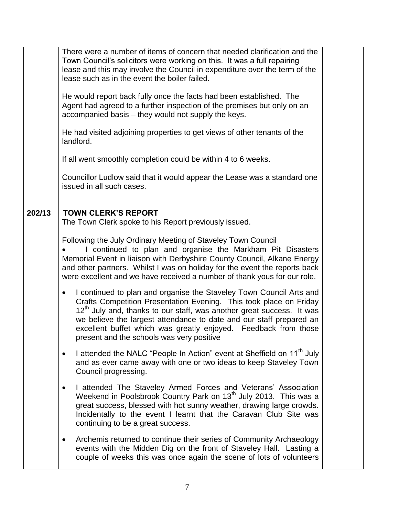|        | There were a number of items of concern that needed clarification and the<br>Town Council's solicitors were working on this. It was a full repairing<br>lease and this may involve the Council in expenditure over the term of the<br>lease such as in the event the boiler failed.<br>He would report back fully once the facts had been established. The<br>Agent had agreed to a further inspection of the premises but only on an<br>accompanied basis – they would not supply the keys.<br>He had visited adjoining properties to get views of other tenants of the<br>landlord.<br>If all went smoothly completion could be within 4 to 6 weeks.<br>Councillor Ludlow said that it would appear the Lease was a standard one<br>issued in all such cases.                                                                                                                              |  |
|--------|----------------------------------------------------------------------------------------------------------------------------------------------------------------------------------------------------------------------------------------------------------------------------------------------------------------------------------------------------------------------------------------------------------------------------------------------------------------------------------------------------------------------------------------------------------------------------------------------------------------------------------------------------------------------------------------------------------------------------------------------------------------------------------------------------------------------------------------------------------------------------------------------|--|
| 202/13 | <b>TOWN CLERK'S REPORT</b><br>The Town Clerk spoke to his Report previously issued.<br>Following the July Ordinary Meeting of Staveley Town Council<br>I continued to plan and organise the Markham Pit Disasters<br>Memorial Event in liaison with Derbyshire County Council, Alkane Energy<br>and other partners. Whilst I was on holiday for the event the reports back<br>were excellent and we have received a number of thank yous for our role.<br>I continued to plan and organise the Staveley Town Council Arts and<br>$\bullet$<br>Crafts Competition Presentation Evening. This took place on Friday<br>12 <sup>th</sup> July and, thanks to our staff, was another great success. It was<br>we believe the largest attendance to date and our staff prepared an<br>excellent buffet which was greatly enjoyed. Feedback from those<br>present and the schools was very positive |  |
|        | I attended the NALC "People In Action" event at Sheffield on 11 <sup>th</sup> July<br>$\bullet$<br>and as ever came away with one or two ideas to keep Staveley Town<br>Council progressing.<br>I attended The Staveley Armed Forces and Veterans' Association<br>$\bullet$<br>Weekend in Poolsbrook Country Park on 13 <sup>th</sup> July 2013. This was a<br>great success, blessed with hot sunny weather, drawing large crowds.<br>Incidentally to the event I learnt that the Caravan Club Site was<br>continuing to be a great success.<br>Archemis returned to continue their series of Community Archaeology<br>$\bullet$<br>events with the Midden Dig on the front of Staveley Hall. Lasting a<br>couple of weeks this was once again the scene of lots of volunteers                                                                                                              |  |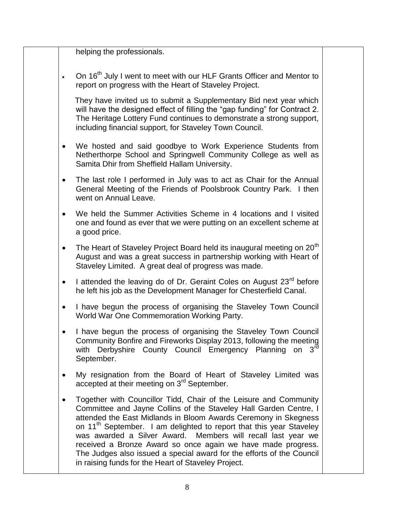helping the professionals.

 $\cdot$  On 16<sup>th</sup> July I went to meet with our HLF Grants Officer and Mentor to report on progress with the Heart of Staveley Project.

 They have invited us to submit a Supplementary Bid next year which will have the designed effect of filling the "gap funding" for Contract 2. The Heritage Lottery Fund continues to demonstrate a strong support, including financial support, for Staveley Town Council.

- We hosted and said goodbye to Work Experience Students from Netherthorpe School and Springwell Community College as well as Samita Dhir from Sheffield Hallam University.
- The last role I performed in July was to act as Chair for the Annual General Meeting of the Friends of Poolsbrook Country Park. I then went on Annual Leave.
- We held the Summer Activities Scheme in 4 locations and I visited one and found as ever that we were putting on an excellent scheme at a good price.
- The Heart of Staveley Project Board held its inaugural meeting on 20<sup>th</sup> August and was a great success in partnership working with Heart of Staveley Limited. A great deal of progress was made.
- I attended the leaving do of Dr. Geraint Coles on August 23<sup>rd</sup> before he left his job as the Development Manager for Chesterfield Canal.
- I have begun the process of organising the Staveley Town Council World War One Commemoration Working Party.
- I have begun the process of organising the Staveley Town Council Community Bonfire and Fireworks Display 2013, following the meeting with Derbyshire County Council Emergency Planning on 3<sup>rd</sup> September.
- My resignation from the Board of Heart of Staveley Limited was accepted at their meeting on 3<sup>rd</sup> September.
- Together with Councillor Tidd, Chair of the Leisure and Community Committee and Jayne Collins of the Staveley Hall Garden Centre, I attended the East Midlands in Bloom Awards Ceremony in Skegness on 11<sup>th</sup> September. I am delighted to report that this year Staveley was awarded a Silver Award. Members will recall last year we received a Bronze Award so once again we have made progress. The Judges also issued a special award for the efforts of the Council in raising funds for the Heart of Staveley Project.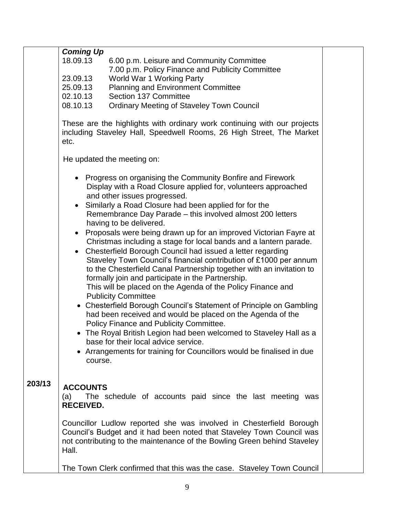|        | <b>Coming Up</b><br>18.09.13<br>6.00 p.m. Leisure and Community Committee<br>7.00 p.m. Policy Finance and Publicity Committee<br>23.09.13<br>World War 1 Working Party<br>25.09.13<br><b>Planning and Environment Committee</b><br>Section 137 Committee<br>02.10.13<br>08.10.13<br><b>Ordinary Meeting of Staveley Town Council</b><br>These are the highlights with ordinary work continuing with our projects<br>including Staveley Hall, Speedwell Rooms, 26 High Street, The Market<br>etc.                                                                                                                                                                                                                                                                                                                                                                                                                                                                                                                                                                                                                                                                                                                               |  |
|--------|--------------------------------------------------------------------------------------------------------------------------------------------------------------------------------------------------------------------------------------------------------------------------------------------------------------------------------------------------------------------------------------------------------------------------------------------------------------------------------------------------------------------------------------------------------------------------------------------------------------------------------------------------------------------------------------------------------------------------------------------------------------------------------------------------------------------------------------------------------------------------------------------------------------------------------------------------------------------------------------------------------------------------------------------------------------------------------------------------------------------------------------------------------------------------------------------------------------------------------|--|
|        | He updated the meeting on:                                                                                                                                                                                                                                                                                                                                                                                                                                                                                                                                                                                                                                                                                                                                                                                                                                                                                                                                                                                                                                                                                                                                                                                                     |  |
|        | • Progress on organising the Community Bonfire and Firework<br>Display with a Road Closure applied for, volunteers approached<br>and other issues progressed.<br>Similarly a Road Closure had been applied for for the<br>Remembrance Day Parade - this involved almost 200 letters<br>having to be delivered.<br>Proposals were being drawn up for an improved Victorian Fayre at<br>$\bullet$<br>Christmas including a stage for local bands and a lantern parade.<br>Chesterfield Borough Council had issued a letter regarding<br>$\bullet$<br>Staveley Town Council's financial contribution of £1000 per annum<br>to the Chesterfield Canal Partnership together with an invitation to<br>formally join and participate in the Partnership.<br>This will be placed on the Agenda of the Policy Finance and<br><b>Publicity Committee</b><br>• Chesterfield Borough Council's Statement of Principle on Gambling<br>had been received and would be placed on the Agenda of the<br>Policy Finance and Publicity Committee.<br>• The Royal British Legion had been welcomed to Staveley Hall as a<br>base for their local advice service.<br>Arrangements for training for Councillors would be finalised in due<br>course. |  |
| 203/13 | <b>ACCOUNTS</b><br>The schedule of accounts paid since the last meeting was<br>(a)<br><b>RECEIVED.</b>                                                                                                                                                                                                                                                                                                                                                                                                                                                                                                                                                                                                                                                                                                                                                                                                                                                                                                                                                                                                                                                                                                                         |  |
|        | Councillor Ludlow reported she was involved in Chesterfield Borough<br>Council's Budget and it had been noted that Staveley Town Council was<br>not contributing to the maintenance of the Bowling Green behind Staveley<br>Hall.                                                                                                                                                                                                                                                                                                                                                                                                                                                                                                                                                                                                                                                                                                                                                                                                                                                                                                                                                                                              |  |
|        | The Town Clerk confirmed that this was the case. Staveley Town Council                                                                                                                                                                                                                                                                                                                                                                                                                                                                                                                                                                                                                                                                                                                                                                                                                                                                                                                                                                                                                                                                                                                                                         |  |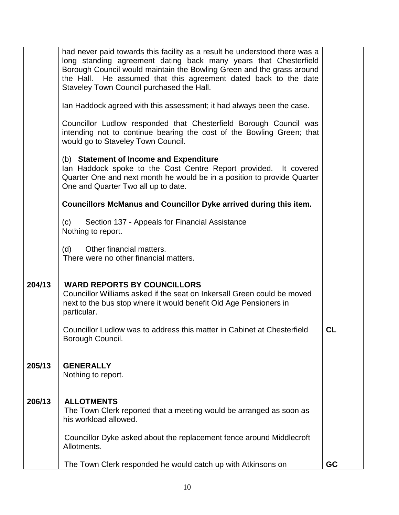|        | had never paid towards this facility as a result he understood there was a<br>long standing agreement dating back many years that Chesterfield<br>Borough Council would maintain the Bowling Green and the grass around<br>the Hall. He assumed that this agreement dated back to the date<br>Staveley Town Council purchased the Hall. |           |
|--------|-----------------------------------------------------------------------------------------------------------------------------------------------------------------------------------------------------------------------------------------------------------------------------------------------------------------------------------------|-----------|
|        | Ian Haddock agreed with this assessment; it had always been the case.                                                                                                                                                                                                                                                                   |           |
|        | Councillor Ludlow responded that Chesterfield Borough Council was<br>intending not to continue bearing the cost of the Bowling Green; that<br>would go to Staveley Town Council.                                                                                                                                                        |           |
|        | (b) Statement of Income and Expenditure<br>lan Haddock spoke to the Cost Centre Report provided. It covered<br>Quarter One and next month he would be in a position to provide Quarter<br>One and Quarter Two all up to date.                                                                                                           |           |
|        | <b>Councillors McManus and Councillor Dyke arrived during this item.</b>                                                                                                                                                                                                                                                                |           |
|        | Section 137 - Appeals for Financial Assistance<br>(c)<br>Nothing to report.                                                                                                                                                                                                                                                             |           |
|        | Other financial matters.<br>(d)<br>There were no other financial matters.                                                                                                                                                                                                                                                               |           |
| 204/13 | <b>WARD REPORTS BY COUNCILLORS</b><br>Councillor Williams asked if the seat on Inkersall Green could be moved<br>next to the bus stop where it would benefit Old Age Pensioners in<br>particular.                                                                                                                                       |           |
|        | Councillor Ludlow was to address this matter in Cabinet at Chesterfield<br>Borough Council.                                                                                                                                                                                                                                             | CL        |
| 205/13 | <b>GENERALLY</b><br>Nothing to report.                                                                                                                                                                                                                                                                                                  |           |
| 206/13 | <b>ALLOTMENTS</b><br>The Town Clerk reported that a meeting would be arranged as soon as<br>his workload allowed.                                                                                                                                                                                                                       |           |
|        | Councillor Dyke asked about the replacement fence around Middlecroft<br>Allotments.                                                                                                                                                                                                                                                     |           |
|        | The Town Clerk responded he would catch up with Atkinsons on                                                                                                                                                                                                                                                                            | <b>GC</b> |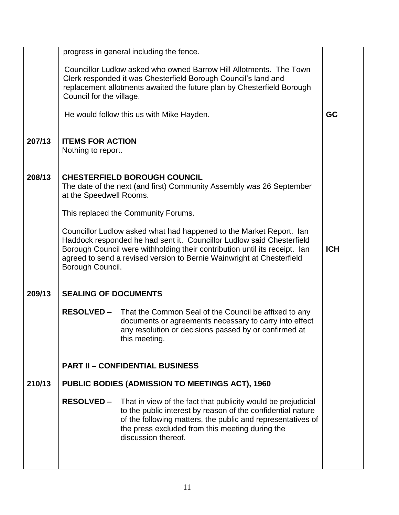|        |                                                                                                                                                                                                                                                                                                                                       | progress in general including the fence.                                                                                                                                                                                                                             |           |  |  |
|--------|---------------------------------------------------------------------------------------------------------------------------------------------------------------------------------------------------------------------------------------------------------------------------------------------------------------------------------------|----------------------------------------------------------------------------------------------------------------------------------------------------------------------------------------------------------------------------------------------------------------------|-----------|--|--|
|        | Council for the village.                                                                                                                                                                                                                                                                                                              | Councillor Ludlow asked who owned Barrow Hill Allotments. The Town<br>Clerk responded it was Chesterfield Borough Council's land and<br>replacement allotments awaited the future plan by Chesterfield Borough                                                       |           |  |  |
|        |                                                                                                                                                                                                                                                                                                                                       | He would follow this us with Mike Hayden.                                                                                                                                                                                                                            | <b>GC</b> |  |  |
| 207/13 | <b>ITEMS FOR ACTION</b><br>Nothing to report.                                                                                                                                                                                                                                                                                         |                                                                                                                                                                                                                                                                      |           |  |  |
| 208/13 | at the Speedwell Rooms.                                                                                                                                                                                                                                                                                                               | <b>CHESTERFIELD BOROUGH COUNCIL</b><br>The date of the next (and first) Community Assembly was 26 September                                                                                                                                                          |           |  |  |
|        |                                                                                                                                                                                                                                                                                                                                       | This replaced the Community Forums.                                                                                                                                                                                                                                  |           |  |  |
|        | Councillor Ludlow asked what had happened to the Market Report. Ian<br>Haddock responded he had sent it. Councillor Ludlow said Chesterfield<br>Borough Council were withholding their contribution until its receipt. Ian<br><b>ICH</b><br>agreed to send a revised version to Bernie Wainwright at Chesterfield<br>Borough Council. |                                                                                                                                                                                                                                                                      |           |  |  |
| 209/13 | <b>SEALING OF DOCUMENTS</b>                                                                                                                                                                                                                                                                                                           |                                                                                                                                                                                                                                                                      |           |  |  |
|        | <b>RESOLVED –</b>                                                                                                                                                                                                                                                                                                                     | That the Common Seal of the Council be affixed to any<br>documents or agreements necessary to carry into effect<br>any resolution or decisions passed by or confirmed at<br>this meeting.                                                                            |           |  |  |
|        |                                                                                                                                                                                                                                                                                                                                       | <b>PART II - CONFIDENTIAL BUSINESS</b>                                                                                                                                                                                                                               |           |  |  |
| 210/13 |                                                                                                                                                                                                                                                                                                                                       | <b>PUBLIC BODIES (ADMISSION TO MEETINGS ACT), 1960</b>                                                                                                                                                                                                               |           |  |  |
|        | <b>RESOLVED –</b>                                                                                                                                                                                                                                                                                                                     | That in view of the fact that publicity would be prejudicial<br>to the public interest by reason of the confidential nature<br>of the following matters, the public and representatives of<br>the press excluded from this meeting during the<br>discussion thereof. |           |  |  |
|        |                                                                                                                                                                                                                                                                                                                                       |                                                                                                                                                                                                                                                                      |           |  |  |